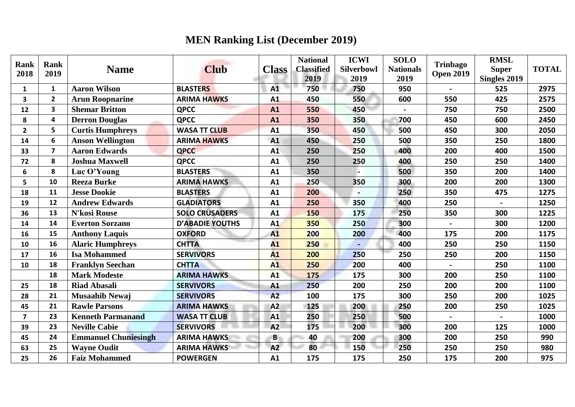## **MEN Ranking List (December 2019)**

| <b>Rank</b><br>2018 | Rank<br>2019            | <b>Name</b>                 | <b>Club</b>            | <b>Class</b> | <b>National</b><br><b>Classified</b><br>2019 | <b>ICWI</b><br><b>Silverbowl</b><br>2019 | <b>SOLO</b><br><b>Nationals</b><br>2019 | Trinbago<br><b>Open 2019</b> | <b>RMSL</b><br><b>Super</b><br>Singles 2019 | <b>TOTAL</b> |
|---------------------|-------------------------|-----------------------------|------------------------|--------------|----------------------------------------------|------------------------------------------|-----------------------------------------|------------------------------|---------------------------------------------|--------------|
| $\mathbf{1}$        | 1                       | <b>Aaron Wilson</b>         | <b>BLASTERS</b>        | A1           | 750                                          | 750                                      | 950                                     | $\blacksquare$               | 525                                         | 2975         |
| 3                   | $\overline{2}$          | <b>Arun Roopnarine</b>      | <b>ARIMA HAWKS</b>     | A1           | 450                                          | 550                                      | 600                                     | 550                          | 425                                         | 2575         |
| 12                  | 3                       | <b>Shemar Britton</b>       | <b>QPCC</b>            | A1           | 550                                          | 450                                      |                                         | 750                          | 750                                         | 2500         |
| 8                   | $\overline{\mathbf{4}}$ | <b>Derron Douglas</b>       | <b>QPCC</b>            | A1           | 350                                          | 350                                      | 700                                     | 450                          | 600                                         | 2450         |
| $\overline{2}$      | 5                       | <b>Curtis Humphreys</b>     | <b>WASA TT CLUB</b>    | A1           | 350                                          | 450                                      | 500                                     | 450                          | 300                                         | 2050         |
| 14                  | 6                       | <b>Anson Wellington</b>     | <b>ARIMA HAWKS</b>     | A1           | 450                                          | 250                                      | 500                                     | 350                          | 250                                         | 1800         |
| 33                  | $\overline{7}$          | <b>Aaron Edwards</b>        | <b>QPCC</b>            | A1           | 250                                          | 250                                      | 400                                     | 200                          | 400                                         | 1500         |
| 72                  | 8                       | <b>Joshua Maxwell</b>       | <b>QPCC</b>            | A1           | 250                                          | 250                                      | 400                                     | 250                          | 250                                         | 1400         |
| 6                   | 8                       | Luc O'Young                 | <b>BLASTERS</b>        | A1           | 350                                          |                                          | 500                                     | 350                          | 200                                         | 1400         |
| 5                   | 10                      | <b>Reeza Burke</b>          | <b>ARIMA HAWKS</b>     | A1           | 250                                          | 350                                      | 300                                     | 200                          | 200                                         | 1300         |
| 18                  | 11                      | <b>Jesse Dookie</b>         | <b>BLASTERS</b>        | A1           | 200                                          |                                          | 250                                     | 350                          | 475                                         | 1275         |
| 19                  | 12                      | <b>Andrew Edwards</b>       | <b>GLADIATORS</b>      | A1           | 250                                          | 350                                      | 400                                     | 250                          |                                             | 1250         |
| 36                  | 13                      | <b>N'kosi Rouse</b>         | <b>SOLO CRUSADERS</b>  | A1           | 150                                          | 175                                      | 250                                     | 350                          | 300                                         | 1225         |
| 14                  | 14                      | <b>Everton Sorzano</b>      | <b>D'ABADIE YOUTHS</b> | A1           | 350                                          | 250                                      | 300                                     |                              | 300                                         | 1200         |
| 16                  | 15                      | <b>Anthony Laquis</b>       | <b>OXFORD</b>          | A1           | 200                                          | 200                                      | 400                                     | 175                          | 200                                         | 1175         |
| 10                  | 16                      | <b>Alaric Humphreys</b>     | <b>CHTTA</b>           | A1           | 250                                          |                                          | 400                                     | 250                          | 250                                         | 1150         |
| 17                  | 16                      | <b>Isa Mohammed</b>         | <b>SERVIVORS</b>       | A1           | 200                                          | 250                                      | 250                                     | 250                          | 200                                         | 1150         |
| 10                  | 18                      | <b>Franklyn Seechan</b>     | <b>CHTTA</b>           | A1           | 250                                          | 200                                      | 400                                     |                              | 250                                         | 1100         |
|                     | 18                      | <b>Mark Modeste</b>         | <b>ARIMA HAWKS</b>     | A1           | 175                                          | 175                                      | 300                                     | 200                          | 250                                         | 1100         |
| 25                  | 18                      | <b>Riad Abasali</b>         | <b>SERVIVORS</b>       | A1           | 250                                          | 200                                      | 250                                     | 200                          | 200                                         | 1100         |
| 28                  | 21                      | <b>Musaahib Newaj</b>       | <b>SERVIVORS</b>       | A2           | 100                                          | 175                                      | 300                                     | 250                          | 200                                         | 1025         |
| 45                  | 21                      | <b>Rawle Parsons</b>        | <b>ARIMA HAWKS</b>     | A2           | 125                                          | 200                                      | 250                                     | 200                          | 250                                         | 1025         |
| $\overline{7}$      | 23                      | <b>Kenneth Parmanand</b>    | <b>WASA TT CLUB</b>    | A1           | 250                                          | 250                                      | 500                                     | $\sim$                       |                                             | 1000         |
| 39                  | 23                      | <b>Neville Cabie</b>        | <b>SERVIVORS</b>       | A2           | 175                                          | 200                                      | 300                                     | 200                          | 125                                         | 1000         |
| 45                  | 24                      | <b>Emmanuel Chuniesingh</b> | <b>ARIMA HAWKS</b>     | B            | 40                                           | 200                                      | 300                                     | 200                          | 250                                         | 990          |
| 63                  | 25                      | <b>Wayne Oudit</b>          | <b>ARIMA HAWKS</b>     | A2           | 80                                           | 150                                      | 250                                     | 250                          | 250                                         | 980          |
| 25                  | 26                      | <b>Faiz Mohammed</b>        | <b>POWERGEN</b>        | A1           | 175                                          | 175                                      | 250                                     | 175                          | 200                                         | 975          |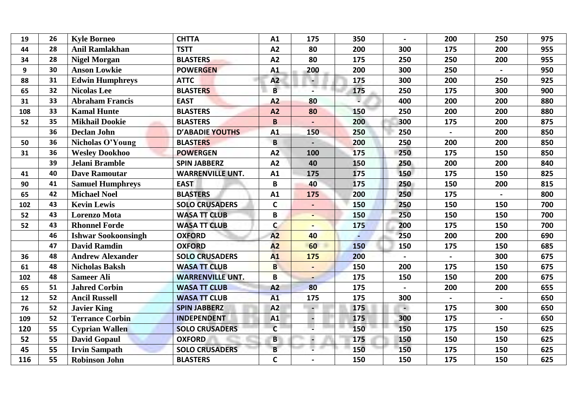|    |                            |                                                                    |                             |          |                             |                |                |            | 975        |
|----|----------------------------|--------------------------------------------------------------------|-----------------------------|----------|-----------------------------|----------------|----------------|------------|------------|
|    |                            |                                                                    |                             |          |                             |                |                |            | 955        |
| 28 |                            | <b>BLASTERS</b>                                                    | A2                          | 80       | 175                         | 250            | 250            | 200        | 955        |
| 30 | <b>Anson Lowkie</b>        | <b>POWERGEN</b>                                                    | A1                          | 200      | 200                         | 300            | 250            |            | 950        |
| 31 | <b>Edwin Humphreys</b>     | <b>ATTC</b>                                                        | A2                          |          | 175                         | 300            | 200            | 250        | 925        |
| 32 | <b>Nicolas Lee</b>         | <b>BLASTERS</b>                                                    | $\overline{B}$              |          | 175                         | 250            | 175            | 300        | 900        |
| 33 | <b>Abraham Francis</b>     | <b>EAST</b>                                                        | A2                          | 80       |                             | 400            | 200            | 200        | 880        |
| 33 | <b>Kamal Hunte</b>         | <b>BLASTERS</b>                                                    | A2                          | 80       | 150                         | 250            | 200            | 200        | 880        |
| 35 | <b>Mikhail Dookie</b>      | <b>BLASTERS</b>                                                    | $\mathbf B$                 |          | 200                         | 300            | 175            | 200        | 875        |
| 36 | <b>Declan John</b>         | <b>D'ABADIE YOUTHS</b>                                             | A1                          | 150      | 250                         | 250            | $\blacksquare$ | 200        | 850        |
| 36 | Nicholas O'Young           | <b>BLASTERS</b>                                                    | $\overline{B}$              |          | 200                         | 250            | 200            | 200        | 850        |
| 36 | <b>Wesley Dookhoo</b>      | <b>POWERGEN</b>                                                    | A2                          | 100      | 175                         | 250            | 175            | 150        | 850        |
| 39 | Jelani Bramble             | <b>SPIN JABBERZ</b>                                                | A2                          | 40       | 150                         | 250            | 200            | 200        | 840        |
| 40 | <b>Dave Ramoutar</b>       | <b>WARRENVILLE UNT.</b>                                            | A1                          | 175      | 175                         | 150            | 175            | 150        | 825        |
| 41 | <b>Samuel Humphreys</b>    | <b>EAST</b>                                                        | B                           | 40       | 175                         | 250            | 150            | 200        | 815        |
| 42 | <b>Michael Noel</b>        | <b>BLASTERS</b>                                                    | A1                          | 175      | 200                         | 250            | 175            |            | 800        |
| 43 | <b>Kevin Lewis</b>         | <b>SOLO CRUSADERS</b>                                              | $\mathbf C$                 |          | 150                         | 250            | 150            | 150        | 700        |
| 43 | <b>Lorenzo Mota</b>        | <b>WASA TT CLUB</b>                                                | B                           |          | 150                         | 250            | 150            | 150        | 700        |
| 43 | <b>Rhonnel Forde</b>       | <b>WASA TT CLUB</b>                                                | $\mathsf{C}$                |          | 175                         | 200            | 175            | 150        | 700        |
| 46 | <b>Ishwar Sookoonsingh</b> | <b>OXFORD</b>                                                      | A2                          | 40       |                             | 250            | 200            | 200        | 690        |
| 47 | <b>David Ramdin</b>        | <b>OXFORD</b>                                                      | A2                          | 60       | 150                         | 150            | 175            | 150        | 685        |
| 48 | <b>Andrew Alexander</b>    | <b>SOLO CRUSADERS</b>                                              | A1                          | 175      | 200                         |                | $\blacksquare$ | 300        | 675        |
| 48 | <b>Nicholas Baksh</b>      | <b>WASA TT CLUB</b>                                                | $\overline{B}$              |          | 150                         | 200            | 175            | 150        | 675        |
| 48 | <b>Sameer Ali</b>          | <b>WARRENVILLE UNT.</b>                                            | B                           |          | 175                         | 150            | 150            | 200        | 675        |
| 51 | <b>Jahred Corbin</b>       | <b>WASA TT CLUB</b>                                                | A2                          | 80       | 175                         |                | 200            | 200        | 655        |
| 52 | <b>Ancil Russell</b>       | <b>WASA TT CLUB</b>                                                | A1                          | 175      | 175                         | 300            | $\blacksquare$ |            | 650        |
| 52 | <b>Javier King</b>         | <b>SPIN JABBERZ</b>                                                | A2                          |          | 175                         | $\blacksquare$ | 175            | 300        | 650        |
| 52 | <b>Terrance Corbin</b>     | <b>INDEPENDENT</b>                                                 | A1                          |          | 175                         | 300            | 175            |            | 650        |
| 55 | <b>Cyprian Wallen</b>      | <b>SOLO CRUSADERS</b>                                              | $\mathsf{C}$                |          | 150                         | 150            | 175            | 150        | 625        |
| 55 | <b>David Gopaul</b>        | <b>OXFORD</b>                                                      | B                           |          | 175                         | 150            | 150            | 150        | 625        |
| 55 | <b>Irvin Sampath</b>       | <b>SOLO CRUSADERS</b>                                              | B                           |          | 150                         | 150            | 175            | 150        | 625        |
| 55 | <b>Robinson John</b>       | <b>BLASTERS</b>                                                    | $\mathsf{C}$                |          | 150                         | 150            | 175            | 150        | 625        |
|    | 26<br>28                   | <b>Kyle Borneo</b><br><b>Anil Ramlakhan</b><br><b>Nigel Morgan</b> | <b>CHTTA</b><br><b>TSTT</b> | A1<br>A2 | 175<br>80<br>$\mathbb{R}^n$ | 350<br>200     | 300            | 200<br>175 | 250<br>200 |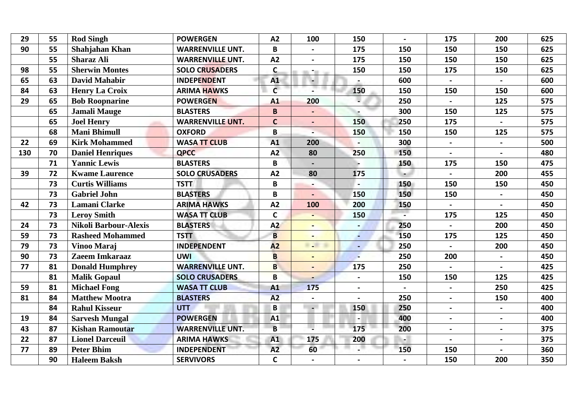| 29  | 55 | <b>Rod Singh</b>             | <b>POWERGEN</b>         | A2             | 100            | 150                      | $\blacksquare$ | 175            | 200            | 625 |
|-----|----|------------------------------|-------------------------|----------------|----------------|--------------------------|----------------|----------------|----------------|-----|
| 90  | 55 | Shahjahan Khan               | <b>WARRENVILLE UNT.</b> | B              |                | 175                      | 150            | 150            | 150            | 625 |
|     | 55 | <b>Sharaz Ali</b>            | <b>WARRENVILLE UNT.</b> | A2             |                | 175                      | 150            | 150            | 150            | 625 |
| 98  | 55 | <b>Sherwin Montes</b>        | <b>SOLO CRUSADERS</b>   | $\mathsf{C}$   | $\sim$         | 150                      | 150            | 175            | 150            | 625 |
| 65  | 63 | <b>David Mahabir</b>         | <b>INDEPENDENT</b>      | A1             |                |                          | 600            |                |                | 600 |
| 84  | 63 | <b>Henry La Croix</b>        | <b>ARIMA HAWKS</b>      | $\mathsf{C}$   |                | 150                      | 150            | 150            | 150            | 600 |
| 29  | 65 | <b>Bob Roopnarine</b>        | <b>POWERGEN</b>         | A1             | 200            |                          | 250            |                | 125            | 575 |
|     | 65 | <b>Jamali Mauge</b>          | <b>BLASTERS</b>         | B              |                |                          | 300            | 150            | 125            | 575 |
|     | 65 | <b>Joel Henry</b>            | <b>WARRENVILLE UNT.</b> | $\mathbf c$    |                | 150                      | 250            | 175            |                | 575 |
|     | 68 | <b>Mani Bhimull</b>          | <b>OXFORD</b>           | B              |                | 150                      | 150            | 150            | 125            | 575 |
| 22  | 69 | <b>Kirk Mohammed</b>         | <b>WASA TT CLUB</b>     | A1             | 200            |                          | 300            | $\mathbf{L}$   |                | 500 |
| 130 | 70 | <b>Daniel Henriques</b>      | <b>QPCC</b>             | A2             | 80             | 250                      | 150            | $\blacksquare$ |                | 480 |
|     | 71 | <b>Yannic Lewis</b>          | <b>BLASTERS</b>         | B              |                |                          | 150            | 175            | 150            | 475 |
| 39  | 72 | <b>Kwame Laurence</b>        | <b>SOLO CRUSADERS</b>   | A2             | 80             | 175                      |                | $\mathbf{r}$   | 200            | 455 |
|     | 73 | <b>Curtis Williams</b>       | <b>TSTT</b>             | B              |                |                          | 150            | 150            | 150            | 450 |
|     | 73 | <b>Gabriel John</b>          | <b>BLASTERS</b>         | B              |                | 150                      | 150            | 150            | $\blacksquare$ | 450 |
| 42  | 73 | <b>Lamani Clarke</b>         | <b>ARIMA HAWKS</b>      | A2             | 100            | 200                      | 150            |                |                | 450 |
|     | 73 | <b>Leroy Smith</b>           | <b>WASA TT CLUB</b>     | $\mathbf C$    |                | 150                      |                | 175            | 125            | 450 |
| 24  | 73 | <b>Nikoli Barbour-Alexis</b> | <b>BLASTERS</b>         | A2             |                |                          | 250            | $\blacksquare$ | 200            | 450 |
| 59  | 73 | <b>Rasheed Mohammed</b>      | <b>TSTT</b>             | $\overline{B}$ |                |                          | 150            | 175            | 125            | 450 |
| 79  | 73 | Vinoo Maraj                  | <b>INDEPENDENT</b>      | A2             | <b>COLOR</b>   |                          | 250            |                | 200            | 450 |
| 90  | 73 | Zaeem Imkaraaz               | <b>UWI</b>              | $\overline{B}$ | $\blacksquare$ | $\overline{\phantom{a}}$ | 250            | 200            | $\blacksquare$ | 450 |
| 77  | 81 | <b>Donald Humphrey</b>       | <b>WARRENVILLE UNT.</b> | $\overline{B}$ |                | 175                      | 250            | $\mathbf{r}$   |                | 425 |
|     | 81 | <b>Malik Gopaul</b>          | <b>SOLO CRUSADERS</b>   | $\overline{B}$ |                |                          | 150            | 150            | 125            | 425 |
| 59  | 81 | <b>Michael Fong</b>          | <b>WASA TT CLUB</b>     | A1             | 175            | $\blacksquare$           |                | $\blacksquare$ | 250            | 425 |
| 81  | 84 | <b>Matthew Mootra</b>        | <b>BLASTERS</b>         | A2             |                |                          | 250            | $\blacksquare$ | 150            | 400 |
|     | 84 | <b>Rahul Kisseur</b>         | <b>UTT</b>              | B              | $\blacksquare$ | 150                      | 250            | $\blacksquare$ |                | 400 |
| 19  | 84 | <b>Sarvesh Mungal</b>        | <b>POWERGEN</b>         | A1             |                |                          | 400            | $\blacksquare$ | $\blacksquare$ | 400 |
| 43  | 87 | <b>Kishan Ramoutar</b>       | <b>WARRENVILLE UNT.</b> | $\overline{B}$ | u              | 175                      | 200            | $\blacksquare$ | $\blacksquare$ | 375 |
| 22  | 87 | <b>Lionel Darceuil</b>       | <b>ARIMA HAWKS</b>      | A1             | 175            | 200                      |                |                | $\blacksquare$ | 375 |
| 77  | 89 | <b>Peter Bhim</b>            | <b>INDEPENDENT</b>      | A2             | 60             |                          | 150            | 150            |                | 360 |
|     | 90 | <b>Haleem Baksh</b>          | <b>SERVIVORS</b>        | $\mathsf{C}$   |                |                          |                | 150            | 200            | 350 |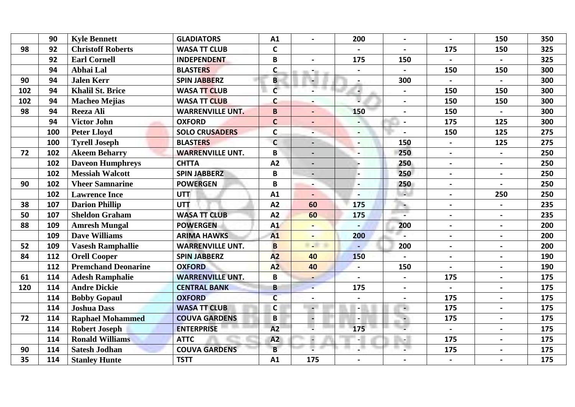|     | 90  | <b>Kyle Bennett</b>        | <b>GLADIATORS</b>       | A1             | $\blacksquare$ | 200            | $\blacksquare$ | $\mathbf{r}$   | 150            | 350 |
|-----|-----|----------------------------|-------------------------|----------------|----------------|----------------|----------------|----------------|----------------|-----|
| 98  | 92  | <b>Christoff Roberts</b>   | <b>WASA TT CLUB</b>     | $\mathbf C$    |                |                |                | 175            | 150            | 325 |
|     | 92  | <b>Earl Cornell</b>        | <b>INDEPENDENT</b>      | B              |                | 175            | 150            |                |                | 325 |
|     | 94  | Abhai Lal                  | <b>BLASTERS</b>         | $\mathsf{C}$   | ÷.             | $\blacksquare$ |                | 150            | 150            | 300 |
| 90  | 94  | <b>Jalen Kerr</b>          | <b>SPIN JABBERZ</b>     | B              |                | $\blacksquare$ | 300            | $\blacksquare$ |                | 300 |
| 102 | 94  | <b>Khalil St. Brice</b>    | <b>WASA TT CLUB</b>     | $\mathsf{C}$   |                |                |                | 150            | 150            | 300 |
| 102 | 94  | <b>Macheo Mejias</b>       | <b>WASA TT CLUB</b>     | $\mathsf{C}$   |                |                |                | 150            | 150            | 300 |
| 98  | 94  | Reeza Ali                  | <b>WARRENVILLE UNT.</b> | B              |                | 150            |                | 150            |                | 300 |
|     | 94  | <b>Victor John</b>         | <b>OXFORD</b>           | $\mathbf C$    |                |                |                | 175            | 125            | 300 |
|     | 100 | <b>Peter Lloyd</b>         | <b>SOLO CRUSADERS</b>   | $\mathbf C$    |                | $\blacksquare$ |                | 150            | 125            | 275 |
|     | 100 | <b>Tyrell Joseph</b>       | <b>BLASTERS</b>         | $\mathsf{C}$   |                |                | 150            | $\blacksquare$ | 125            | 275 |
| 72  | 102 | <b>Akeem Beharry</b>       | <b>WARRENVILLE UNT.</b> | B              |                |                | 250            | $\blacksquare$ |                | 250 |
|     | 102 | <b>Daveon Humphreys</b>    | <b>CHTTA</b>            | A2             |                |                | 250            | $\sim$         | $\blacksquare$ | 250 |
|     | 102 | <b>Messiah Walcott</b>     | <b>SPIN JABBERZ</b>     | B              |                |                | 250            | $\blacksquare$ |                | 250 |
| 90  | 102 | <b>Vheer Samnarine</b>     | <b>POWERGEN</b>         | B              |                |                | 250            | $\blacksquare$ |                | 250 |
|     | 102 | <b>Lawrence Ince</b>       | <b>UTT</b>              | A1             |                | $\blacksquare$ | A.             | $\blacksquare$ | 250            | 250 |
| 38  | 107 | <b>Darion Phillip</b>      | <b>UTT</b>              | A2             | 60             | 175            | $\blacksquare$ | $\blacksquare$ |                | 235 |
| 50  | 107 | <b>Sheldon Graham</b>      | <b>WASA TT CLUB</b>     | A2             | 60             | 175            |                | $\blacksquare$ |                | 235 |
| 88  | 109 | <b>Amresh Mungal</b>       | <b>POWERGEN</b>         | A1             |                |                | 200            | $\blacksquare$ | $\blacksquare$ | 200 |
|     | 109 | <b>Dave Williams</b>       | <b>ARIMA HAWKS</b>      | A1             |                | 200            |                | $\blacksquare$ | $\blacksquare$ | 200 |
| 52  | 109 | <b>Vasesh Ramphallie</b>   | <b>WARRENVILLE UNT.</b> | $\overline{B}$ | $\sim$         |                | 200            | $\blacksquare$ |                | 200 |
| 84  | 112 | <b>Orell Cooper</b>        | <b>SPIN JABBERZ</b>     | A2             | 40             | 150            |                | $\blacksquare$ | $\blacksquare$ | 190 |
|     | 112 | <b>Premchand Deonarine</b> | <b>OXFORD</b>           | A <sub>2</sub> | 40             |                | 150            | $\blacksquare$ |                | 190 |
| 61  | 114 | <b>Adesh Ramphalie</b>     | <b>WARRENVILLE UNT.</b> | B              |                |                |                | 175            |                | 175 |
| 120 | 114 | <b>Andre Dickie</b>        | <b>CENTRAL BANK</b>     | B              |                | 175            | $\blacksquare$ | $\blacksquare$ | $\blacksquare$ | 175 |
|     | 114 | <b>Bobby Gopaul</b>        | <b>OXFORD</b>           | $\overline{c}$ |                |                |                | 175            |                | 175 |
|     | 114 | <b>Joshua Dass</b>         | <b>WASA TT CLUB</b>     | $\mathsf{C}$   | $\blacksquare$ |                | 4              | 175            | $\blacksquare$ | 175 |
| 72  | 114 | <b>Raphael Mohammed</b>    | <b>COUVA GARDENS</b>    | B              |                |                |                | 175            | $\blacksquare$ | 175 |
|     | 114 | <b>Robert Joseph</b>       | <b>ENTERPRISE</b>       | A2             | v              | 175            |                | $\blacksquare$ | $\blacksquare$ | 175 |
|     | 114 | <b>Ronald Williams</b>     | <b>ATTC</b>             | A2             |                |                |                | 175            |                | 175 |
| 90  | 114 | <b>Satesh Jodhan</b>       | <b>COUVA GARDENS</b>    | B              |                |                |                | 175            | $\blacksquare$ | 175 |
| 35  | 114 | <b>Stanley Hunte</b>       | <b>TSTT</b>             | A1             | 175            |                |                |                |                | 175 |